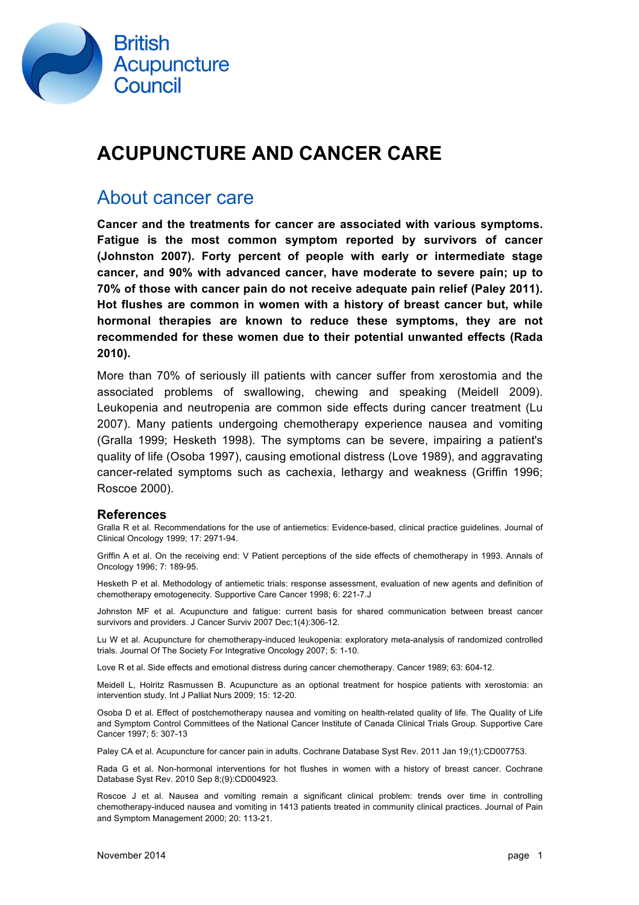

## **ACUPUNCTURE AND CANCER CARE**

### About cancer care

**Cancer and the treatments for cancer are associated with various symptoms. Fatigue is the most common symptom reported by survivors of cancer (Johnston 2007). Forty percent of people with early or intermediate stage cancer, and 90% with advanced cancer, have moderate to severe pain; up to 70% of those with cancer pain do not receive adequate pain relief (Paley 2011). Hot flushes are common in women with a history of breast cancer but, while hormonal therapies are known to reduce these symptoms, they are not recommended for these women due to their potential unwanted effects (Rada 2010).**

More than 70% of seriously ill patients with cancer suffer from xerostomia and the associated problems of swallowing, chewing and speaking (Meidell 2009). Leukopenia and neutropenia are common side effects during cancer treatment (Lu 2007). Many patients undergoing chemotherapy experience nausea and vomiting (Gralla 1999; Hesketh 1998). The symptoms can be severe, impairing a patient's quality of life (Osoba 1997), causing emotional distress (Love 1989), and aggravating cancer-related symptoms such as cachexia, lethargy and weakness (Griffin 1996; Roscoe 2000).

#### **References**

Gralla R et al. Recommendations for the use of antiemetics: Evidence-based, clinical practice guidelines. Journal of Clinical Oncology 1999; 17: 2971-94.

Griffin A et al. On the receiving end: V Patient perceptions of the side effects of chemotherapy in 1993. Annals of Oncology 1996; 7: 189-95.

Hesketh P et al. Methodology of antiemetic trials: response assessment, evaluation of new agents and definition of chemotherapy emotogenecity. Supportive Care Cancer 1998; 6: 221-7.J

Johnston MF et al. Acupuncture and fatigue: current basis for shared communication between breast cancer survivors and providers. J Cancer Surviv 2007 Dec;1(4):306-12.

Lu W et al. Acupuncture for chemotherapy-induced leukopenia: exploratory meta-analysis of randomized controlled trials. Journal Of The Society For Integrative Oncology 2007; 5: 1-10.

Love R et al. Side effects and emotional distress during cancer chemotherapy. Cancer 1989; 63: 604-12.

Meidell L, Holritz Rasmussen B. Acupuncture as an optional treatment for hospice patients with xerostomia: an intervention study. Int J Palliat Nurs 2009; 15: 12-20.

Osoba D et al. Effect of postchemotherapy nausea and vomiting on health-related quality of life. The Quality of Life and Symptom Control Committees of the National Cancer Institute of Canada Clinical Trials Group. Supportive Care Cancer 1997; 5: 307-13

Paley CA et al. Acupuncture for cancer pain in adults. Cochrane Database Syst Rev. 2011 Jan 19;(1):CD007753.

Rada G et al. Non-hormonal interventions for hot flushes in women with a history of breast cancer. Cochrane Database Syst Rev. 2010 Sep 8;(9):CD004923.

Roscoe J et al. Nausea and vomiting remain a significant clinical problem: trends over time in controlling chemotherapy-induced nausea and vomiting in 1413 patients treated in community clinical practices. Journal of Pain and Symptom Management 2000; 20: 113-21.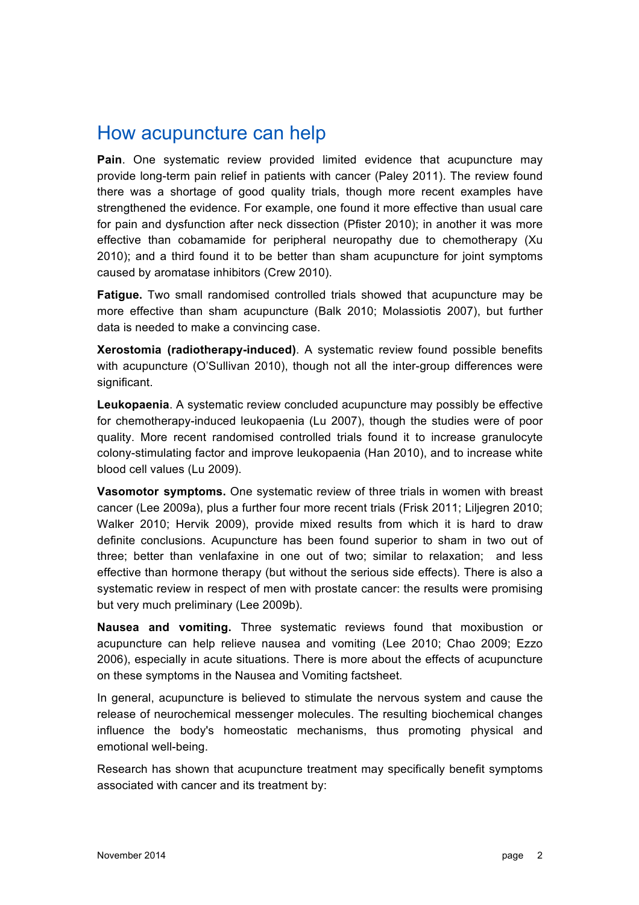## How acupuncture can help

**Pain**. One systematic review provided limited evidence that acupuncture may provide long-term pain relief in patients with cancer (Paley 2011). The review found there was a shortage of good quality trials, though more recent examples have strengthened the evidence. For example, one found it more effective than usual care for pain and dysfunction after neck dissection (Pfister 2010); in another it was more effective than cobamamide for peripheral neuropathy due to chemotherapy (Xu 2010); and a third found it to be better than sham acupuncture for joint symptoms caused by aromatase inhibitors (Crew 2010).

**Fatigue.** Two small randomised controlled trials showed that acupuncture may be more effective than sham acupuncture (Balk 2010; Molassiotis 2007), but further data is needed to make a convincing case.

**Xerostomia (radiotherapy-induced)**. A systematic review found possible benefits with acupuncture (O'Sullivan 2010), though not all the inter-group differences were significant.

**Leukopaenia**. A systematic review concluded acupuncture may possibly be effective for chemotherapy-induced leukopaenia (Lu 2007), though the studies were of poor quality. More recent randomised controlled trials found it to increase granulocyte colony-stimulating factor and improve leukopaenia (Han 2010), and to increase white blood cell values (Lu 2009).

**Vasomotor symptoms.** One systematic review of three trials in women with breast cancer (Lee 2009a), plus a further four more recent trials (Frisk 2011; Liljegren 2010; Walker 2010; Hervik 2009), provide mixed results from which it is hard to draw definite conclusions. Acupuncture has been found superior to sham in two out of three; better than venlafaxine in one out of two; similar to relaxation; and less effective than hormone therapy (but without the serious side effects). There is also a systematic review in respect of men with prostate cancer: the results were promising but very much preliminary (Lee 2009b).

**Nausea and vomiting.** Three systematic reviews found that moxibustion or acupuncture can help relieve nausea and vomiting (Lee 2010; Chao 2009; Ezzo 2006), especially in acute situations. There is more about the effects of acupuncture on these symptoms in the Nausea and Vomiting factsheet.

In general, acupuncture is believed to stimulate the nervous system and cause the release of neurochemical messenger molecules. The resulting biochemical changes influence the body's homeostatic mechanisms, thus promoting physical and emotional well-being.

Research has shown that acupuncture treatment may specifically benefit symptoms associated with cancer and its treatment by: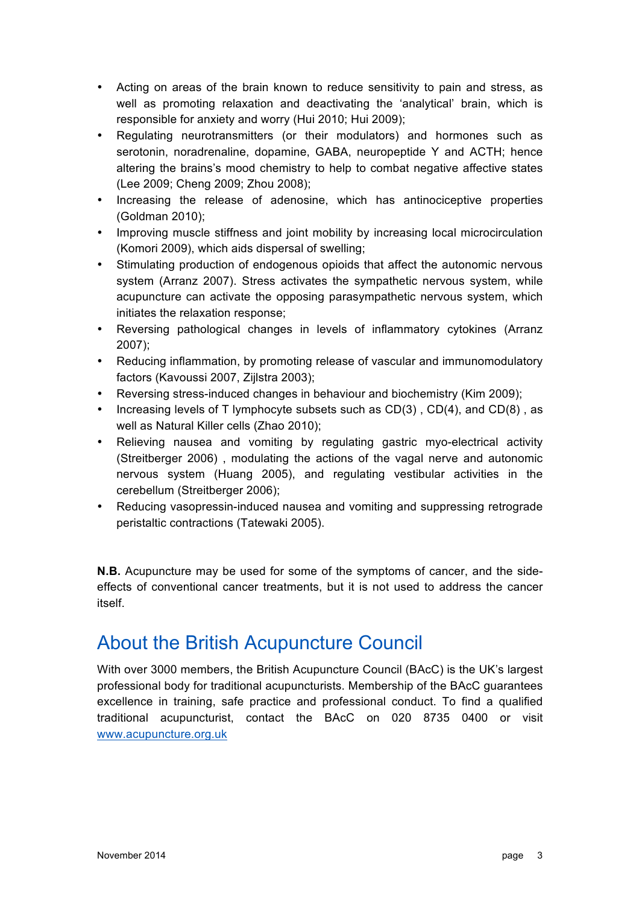- Acting on areas of the brain known to reduce sensitivity to pain and stress, as well as promoting relaxation and deactivating the 'analytical' brain, which is responsible for anxiety and worry (Hui 2010; Hui 2009);
- Regulating neurotransmitters (or their modulators) and hormones such as serotonin, noradrenaline, dopamine, GABA, neuropeptide Y and ACTH; hence altering the brains's mood chemistry to help to combat negative affective states (Lee 2009; Cheng 2009; Zhou 2008);
- Increasing the release of adenosine, which has antinociceptive properties (Goldman 2010);
- Improving muscle stiffness and joint mobility by increasing local microcirculation (Komori 2009), which aids dispersal of swelling;
- Stimulating production of endogenous opioids that affect the autonomic nervous system (Arranz 2007). Stress activates the sympathetic nervous system, while acupuncture can activate the opposing parasympathetic nervous system, which initiates the relaxation response;
- Reversing pathological changes in levels of inflammatory cytokines (Arranz 2007);
- Reducing inflammation, by promoting release of vascular and immunomodulatory factors (Kavoussi 2007, Zijlstra 2003);
- Reversing stress-induced changes in behaviour and biochemistry (Kim 2009);
- Increasing levels of T lymphocyte subsets such as CD(3) , CD(4), and CD(8) , as well as Natural Killer cells (Zhao 2010);
- Relieving nausea and vomiting by regulating gastric myo-electrical activity (Streitberger 2006) , modulating the actions of the vagal nerve and autonomic nervous system (Huang 2005), and regulating vestibular activities in the cerebellum (Streitberger 2006);
- Reducing vasopressin-induced nausea and vomiting and suppressing retrograde peristaltic contractions (Tatewaki 2005).

**N.B.** Acupuncture may be used for some of the symptoms of cancer, and the sideeffects of conventional cancer treatments, but it is not used to address the cancer itself.

### About the British Acupuncture Council

With over 3000 members, the British Acupuncture Council (BAcC) is the UK's largest professional body for traditional acupuncturists. Membership of the BAcC guarantees excellence in training, safe practice and professional conduct. To find a qualified traditional acupuncturist, contact the BAcC on 020 8735 0400 or visit www.acupuncture.org.uk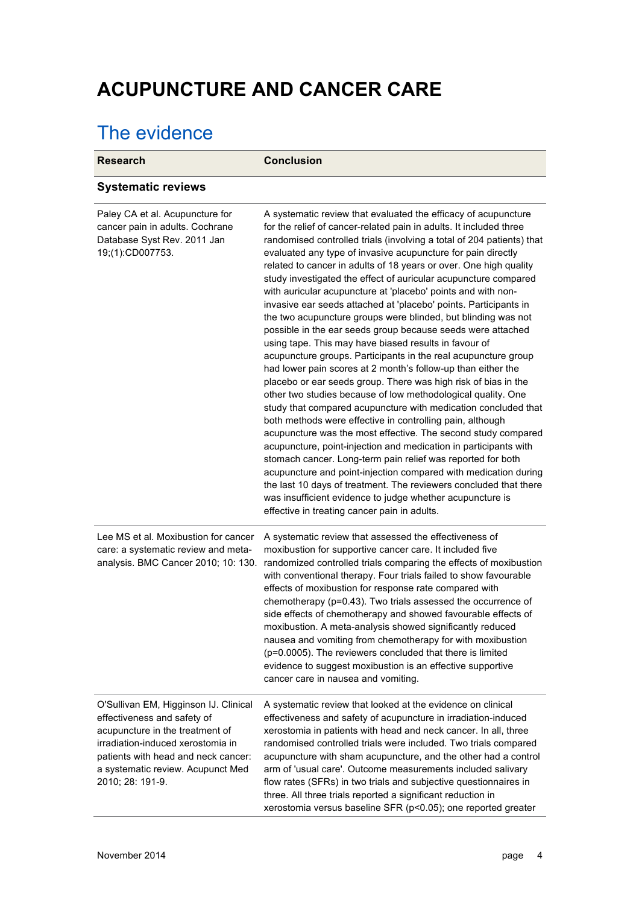# **ACUPUNCTURE AND CANCER CARE**

## The evidence

| <b>Research</b>                                                                                                                                                                                                                              | <b>Conclusion</b>                                                                                                                                                                                                                                                                                                                                                                                                                                                                                                                                                                                                                                                                                                                                                                                                                                                                                                                                                                                                                                                                                                                                                                                                                                                                                                                                                                                                                                                                                                                                                                                              |
|----------------------------------------------------------------------------------------------------------------------------------------------------------------------------------------------------------------------------------------------|----------------------------------------------------------------------------------------------------------------------------------------------------------------------------------------------------------------------------------------------------------------------------------------------------------------------------------------------------------------------------------------------------------------------------------------------------------------------------------------------------------------------------------------------------------------------------------------------------------------------------------------------------------------------------------------------------------------------------------------------------------------------------------------------------------------------------------------------------------------------------------------------------------------------------------------------------------------------------------------------------------------------------------------------------------------------------------------------------------------------------------------------------------------------------------------------------------------------------------------------------------------------------------------------------------------------------------------------------------------------------------------------------------------------------------------------------------------------------------------------------------------------------------------------------------------------------------------------------------------|
| <b>Systematic reviews</b>                                                                                                                                                                                                                    |                                                                                                                                                                                                                                                                                                                                                                                                                                                                                                                                                                                                                                                                                                                                                                                                                                                                                                                                                                                                                                                                                                                                                                                                                                                                                                                                                                                                                                                                                                                                                                                                                |
| Paley CA et al. Acupuncture for<br>cancer pain in adults. Cochrane<br>Database Syst Rev. 2011 Jan<br>19;(1):CD007753.                                                                                                                        | A systematic review that evaluated the efficacy of acupuncture<br>for the relief of cancer-related pain in adults. It included three<br>randomised controlled trials (involving a total of 204 patients) that<br>evaluated any type of invasive acupuncture for pain directly<br>related to cancer in adults of 18 years or over. One high quality<br>study investigated the effect of auricular acupuncture compared<br>with auricular acupuncture at 'placebo' points and with non-<br>invasive ear seeds attached at 'placebo' points. Participants in<br>the two acupuncture groups were blinded, but blinding was not<br>possible in the ear seeds group because seeds were attached<br>using tape. This may have biased results in favour of<br>acupuncture groups. Participants in the real acupuncture group<br>had lower pain scores at 2 month's follow-up than either the<br>placebo or ear seeds group. There was high risk of bias in the<br>other two studies because of low methodological quality. One<br>study that compared acupuncture with medication concluded that<br>both methods were effective in controlling pain, although<br>acupuncture was the most effective. The second study compared<br>acupuncture, point-injection and medication in participants with<br>stomach cancer. Long-term pain relief was reported for both<br>acupuncture and point-injection compared with medication during<br>the last 10 days of treatment. The reviewers concluded that there<br>was insufficient evidence to judge whether acupuncture is<br>effective in treating cancer pain in adults. |
| Lee MS et al. Moxibustion for cancer<br>care: a systematic review and meta-<br>analysis. BMC Cancer 2010; 10: 130.                                                                                                                           | A systematic review that assessed the effectiveness of<br>moxibustion for supportive cancer care. It included five<br>randomized controlled trials comparing the effects of moxibustion<br>with conventional therapy. Four trials failed to show favourable<br>effects of moxibustion for response rate compared with<br>chemotherapy (p=0.43). Two trials assessed the occurrence of<br>side effects of chemotherapy and showed favourable effects of<br>moxibustion. A meta-analysis showed significantly reduced<br>nausea and vomiting from chemotherapy for with moxibustion<br>(p=0.0005). The reviewers concluded that there is limited<br>evidence to suggest moxibustion is an effective supportive<br>cancer care in nausea and vomiting.                                                                                                                                                                                                                                                                                                                                                                                                                                                                                                                                                                                                                                                                                                                                                                                                                                                            |
| O'Sullivan EM, Higginson IJ. Clinical<br>effectiveness and safety of<br>acupuncture in the treatment of<br>irradiation-induced xerostomia in<br>patients with head and neck cancer:<br>a systematic review. Acupunct Med<br>2010; 28: 191-9. | A systematic review that looked at the evidence on clinical<br>effectiveness and safety of acupuncture in irradiation-induced<br>xerostomia in patients with head and neck cancer. In all, three<br>randomised controlled trials were included. Two trials compared<br>acupuncture with sham acupuncture, and the other had a control<br>arm of 'usual care'. Outcome measurements included salivary<br>flow rates (SFRs) in two trials and subjective questionnaires in<br>three. All three trials reported a significant reduction in<br>xerostomia versus baseline SFR (p<0.05); one reported greater                                                                                                                                                                                                                                                                                                                                                                                                                                                                                                                                                                                                                                                                                                                                                                                                                                                                                                                                                                                                       |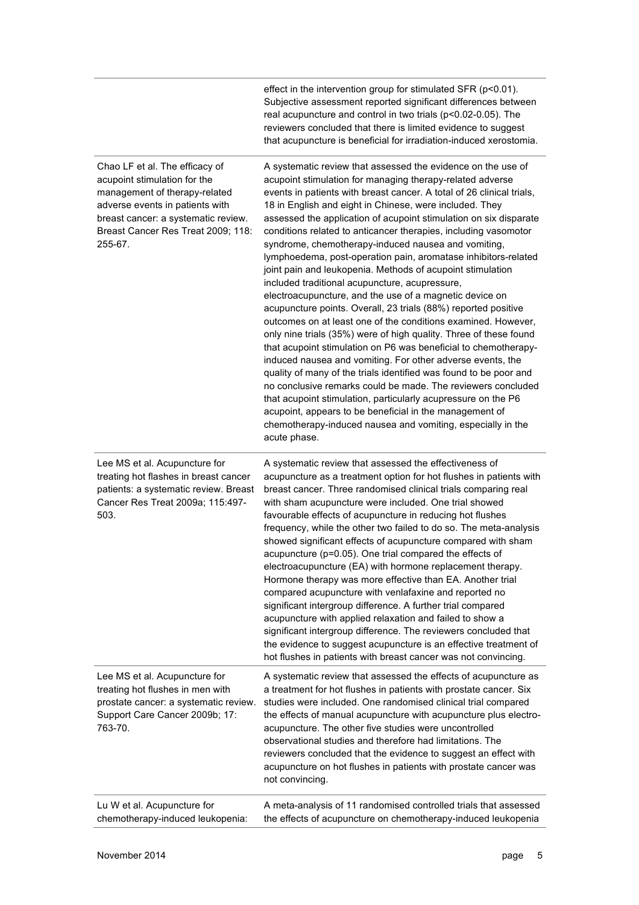|                                                                                                                                                                                                                            | effect in the intervention group for stimulated SFR (p<0.01).<br>Subjective assessment reported significant differences between<br>real acupuncture and control in two trials (p<0.02-0.05). The<br>reviewers concluded that there is limited evidence to suggest<br>that acupuncture is beneficial for irradiation-induced xerostomia.                                                                                                                                                                                                                                                                                                                                                                                                                                                                                                                                                                                                                                                                                                                                                                                                                                                                                                                                                                                                                                                            |
|----------------------------------------------------------------------------------------------------------------------------------------------------------------------------------------------------------------------------|----------------------------------------------------------------------------------------------------------------------------------------------------------------------------------------------------------------------------------------------------------------------------------------------------------------------------------------------------------------------------------------------------------------------------------------------------------------------------------------------------------------------------------------------------------------------------------------------------------------------------------------------------------------------------------------------------------------------------------------------------------------------------------------------------------------------------------------------------------------------------------------------------------------------------------------------------------------------------------------------------------------------------------------------------------------------------------------------------------------------------------------------------------------------------------------------------------------------------------------------------------------------------------------------------------------------------------------------------------------------------------------------------|
| Chao LF et al. The efficacy of<br>acupoint stimulation for the<br>management of therapy-related<br>adverse events in patients with<br>breast cancer: a systematic review.<br>Breast Cancer Res Treat 2009; 118:<br>255-67. | A systematic review that assessed the evidence on the use of<br>acupoint stimulation for managing therapy-related adverse<br>events in patients with breast cancer. A total of 26 clinical trials,<br>18 in English and eight in Chinese, were included. They<br>assessed the application of acupoint stimulation on six disparate<br>conditions related to anticancer therapies, including vasomotor<br>syndrome, chemotherapy-induced nausea and vomiting,<br>lymphoedema, post-operation pain, aromatase inhibitors-related<br>joint pain and leukopenia. Methods of acupoint stimulation<br>included traditional acupuncture, acupressure,<br>electroacupuncture, and the use of a magnetic device on<br>acupuncture points. Overall, 23 trials (88%) reported positive<br>outcomes on at least one of the conditions examined. However,<br>only nine trials (35%) were of high quality. Three of these found<br>that acupoint stimulation on P6 was beneficial to chemotherapy-<br>induced nausea and vomiting. For other adverse events, the<br>quality of many of the trials identified was found to be poor and<br>no conclusive remarks could be made. The reviewers concluded<br>that acupoint stimulation, particularly acupressure on the P6<br>acupoint, appears to be beneficial in the management of<br>chemotherapy-induced nausea and vomiting, especially in the<br>acute phase. |
|                                                                                                                                                                                                                            |                                                                                                                                                                                                                                                                                                                                                                                                                                                                                                                                                                                                                                                                                                                                                                                                                                                                                                                                                                                                                                                                                                                                                                                                                                                                                                                                                                                                    |
| Lee MS et al. Acupuncture for<br>treating hot flashes in breast cancer<br>patients: a systematic review. Breast<br>Cancer Res Treat 2009a; 115:497-<br>503.                                                                | A systematic review that assessed the effectiveness of<br>acupuncture as a treatment option for hot flushes in patients with<br>breast cancer. Three randomised clinical trials comparing real<br>with sham acupuncture were included. One trial showed<br>favourable effects of acupuncture in reducing hot flushes<br>frequency, while the other two failed to do so. The meta-analysis<br>showed significant effects of acupuncture compared with sham<br>acupuncture (p=0.05). One trial compared the effects of<br>electroacupuncture (EA) with hormone replacement therapy.<br>Hormone therapy was more effective than EA. Another trial<br>compared acupuncture with venlafaxine and reported no<br>significant intergroup difference. A further trial compared<br>acupuncture with applied relaxation and failed to show a<br>significant intergroup difference. The reviewers concluded that<br>the evidence to suggest acupuncture is an effective treatment of<br>hot flushes in patients with breast cancer was not convincing.                                                                                                                                                                                                                                                                                                                                                        |
| Lee MS et al. Acupuncture for<br>treating hot flushes in men with<br>prostate cancer: a systematic review.<br>Support Care Cancer 2009b; 17:<br>763-70.                                                                    | A systematic review that assessed the effects of acupuncture as<br>a treatment for hot flushes in patients with prostate cancer. Six<br>studies were included. One randomised clinical trial compared<br>the effects of manual acupuncture with acupuncture plus electro-<br>acupuncture. The other five studies were uncontrolled<br>observational studies and therefore had limitations. The<br>reviewers concluded that the evidence to suggest an effect with<br>acupuncture on hot flushes in patients with prostate cancer was<br>not convincing.                                                                                                                                                                                                                                                                                                                                                                                                                                                                                                                                                                                                                                                                                                                                                                                                                                            |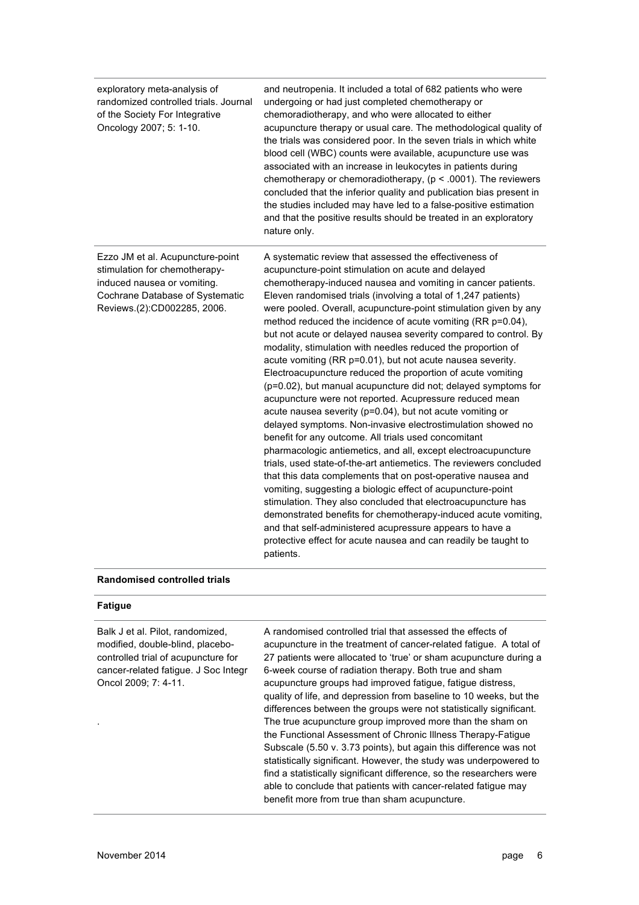| exploratory meta-analysis of<br>randomized controlled trials. Journal<br>of the Society For Integrative<br>Oncology 2007; 5: 1-10.                                 | and neutropenia. It included a total of 682 patients who were<br>undergoing or had just completed chemotherapy or<br>chemoradiotherapy, and who were allocated to either<br>acupuncture therapy or usual care. The methodological quality of<br>the trials was considered poor. In the seven trials in which white<br>blood cell (WBC) counts were available, acupuncture use was<br>associated with an increase in leukocytes in patients during<br>chemotherapy or chemoradiotherapy, ( $p < .0001$ ). The reviewers<br>concluded that the inferior quality and publication bias present in<br>the studies included may have led to a false-positive estimation<br>and that the positive results should be treated in an exploratory<br>nature only.                                                                                                                                                                                                                                                                                                                                                                                                                                                                                                                                                                                                                                                                                                                                                                  |
|--------------------------------------------------------------------------------------------------------------------------------------------------------------------|-------------------------------------------------------------------------------------------------------------------------------------------------------------------------------------------------------------------------------------------------------------------------------------------------------------------------------------------------------------------------------------------------------------------------------------------------------------------------------------------------------------------------------------------------------------------------------------------------------------------------------------------------------------------------------------------------------------------------------------------------------------------------------------------------------------------------------------------------------------------------------------------------------------------------------------------------------------------------------------------------------------------------------------------------------------------------------------------------------------------------------------------------------------------------------------------------------------------------------------------------------------------------------------------------------------------------------------------------------------------------------------------------------------------------------------------------------------------------------------------------------------------------|
| Ezzo JM et al. Acupuncture-point<br>stimulation for chemotherapy-<br>induced nausea or vomiting.<br>Cochrane Database of Systematic<br>Reviews.(2):CD002285, 2006. | A systematic review that assessed the effectiveness of<br>acupuncture-point stimulation on acute and delayed<br>chemotherapy-induced nausea and vomiting in cancer patients.<br>Eleven randomised trials (involving a total of 1,247 patients)<br>were pooled. Overall, acupuncture-point stimulation given by any<br>method reduced the incidence of acute vomiting (RR p=0.04),<br>but not acute or delayed nausea severity compared to control. By<br>modality, stimulation with needles reduced the proportion of<br>acute vomiting (RR p=0.01), but not acute nausea severity.<br>Electroacupuncture reduced the proportion of acute vomiting<br>(p=0.02), but manual acupuncture did not; delayed symptoms for<br>acupuncture were not reported. Acupressure reduced mean<br>acute nausea severity (p=0.04), but not acute vomiting or<br>delayed symptoms. Non-invasive electrostimulation showed no<br>benefit for any outcome. All trials used concomitant<br>pharmacologic antiemetics, and all, except electroacupuncture<br>trials, used state-of-the-art antiemetics. The reviewers concluded<br>that this data complements that on post-operative nausea and<br>vomiting, suggesting a biologic effect of acupuncture-point<br>stimulation. They also concluded that electroacupuncture has<br>demonstrated benefits for chemotherapy-induced acute vomiting,<br>and that self-administered acupressure appears to have a<br>protective effect for acute nausea and can readily be taught to<br>patients. |

#### **Randomised controlled trials**

#### **Fatigue**

| Balk J et al. Pilot, randomized,<br>modified, double-blind, placebo-<br>controlled trial of acupuncture for<br>cancer-related fatigue. J Soc Integr<br>Oncol 2009; 7: 4-11. | A randomised controlled trial that assessed the effects of<br>acupuncture in the treatment of cancer-related fatique. A total of<br>27 patients were allocated to 'true' or sham acupuncture during a<br>6-week course of radiation therapy. Both true and sham<br>acupuncture groups had improved fatigue, fatigue distress,<br>quality of life, and depression from baseline to 10 weeks, but the<br>differences between the groups were not statistically significant.<br>The true acupuncture group improved more than the sham on<br>the Functional Assessment of Chronic Illness Therapy-Fatique<br>Subscale (5.50 v. 3.73 points), but again this difference was not<br>statistically significant. However, the study was underpowered to<br>find a statistically significant difference, so the researchers were<br>able to conclude that patients with cancer-related fatigue may<br>benefit more from true than sham acupuncture. |
|-----------------------------------------------------------------------------------------------------------------------------------------------------------------------------|---------------------------------------------------------------------------------------------------------------------------------------------------------------------------------------------------------------------------------------------------------------------------------------------------------------------------------------------------------------------------------------------------------------------------------------------------------------------------------------------------------------------------------------------------------------------------------------------------------------------------------------------------------------------------------------------------------------------------------------------------------------------------------------------------------------------------------------------------------------------------------------------------------------------------------------------|
|                                                                                                                                                                             |                                                                                                                                                                                                                                                                                                                                                                                                                                                                                                                                                                                                                                                                                                                                                                                                                                                                                                                                             |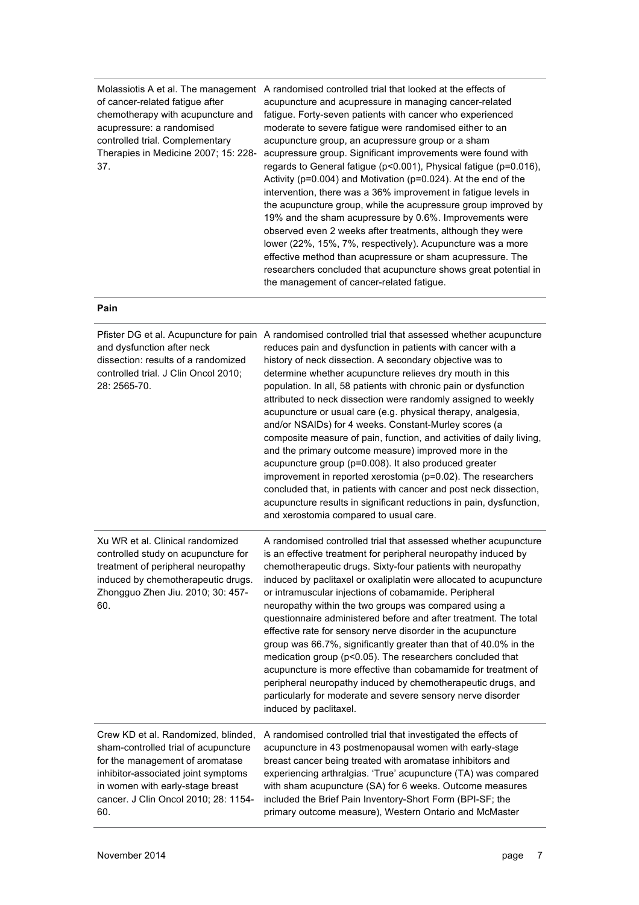of cancer-related fatigue after chemotherapy with acupuncture and acupressure: a randomised controlled trial. Complementary Therapies in Medicine 2007; 15: 228- 37.

Molassiotis A et al. The management A randomised controlled trial that looked at the effects of acupuncture and acupressure in managing cancer-related fatigue. Forty-seven patients with cancer who experienced moderate to severe fatigue were randomised either to an acupuncture group, an acupressure group or a sham acupressure group. Significant improvements were found with regards to General fatigue (p<0.001), Physical fatigue (p=0.016), Activity (p=0.004) and Motivation (p=0.024). At the end of the intervention, there was a 36% improvement in fatigue levels in the acupuncture group, while the acupressure group improved by 19% and the sham acupressure by 0.6%. Improvements were observed even 2 weeks after treatments, although they were lower (22%, 15%, 7%, respectively). Acupuncture was a more effective method than acupressure or sham acupressure. The researchers concluded that acupuncture shows great potential in the management of cancer-related fatigue.

#### **Pain**

| and dysfunction after neck<br>dissection: results of a randomized<br>controlled trial. J Clin Oncol 2010;<br>28: 2565-70.                                                                                                                | Pfister DG et al. Acupuncture for pain A randomised controlled trial that assessed whether acupuncture<br>reduces pain and dysfunction in patients with cancer with a<br>history of neck dissection. A secondary objective was to<br>determine whether acupuncture relieves dry mouth in this<br>population. In all, 58 patients with chronic pain or dysfunction<br>attributed to neck dissection were randomly assigned to weekly<br>acupuncture or usual care (e.g. physical therapy, analgesia,<br>and/or NSAIDs) for 4 weeks. Constant-Murley scores (a<br>composite measure of pain, function, and activities of daily living,<br>and the primary outcome measure) improved more in the<br>acupuncture group (p=0.008). It also produced greater<br>improvement in reported xerostomia (p=0.02). The researchers<br>concluded that, in patients with cancer and post neck dissection,<br>acupuncture results in significant reductions in pain, dysfunction,<br>and xerostomia compared to usual care. |
|------------------------------------------------------------------------------------------------------------------------------------------------------------------------------------------------------------------------------------------|--------------------------------------------------------------------------------------------------------------------------------------------------------------------------------------------------------------------------------------------------------------------------------------------------------------------------------------------------------------------------------------------------------------------------------------------------------------------------------------------------------------------------------------------------------------------------------------------------------------------------------------------------------------------------------------------------------------------------------------------------------------------------------------------------------------------------------------------------------------------------------------------------------------------------------------------------------------------------------------------------------------|
| Xu WR et al. Clinical randomized<br>controlled study on acupuncture for<br>treatment of peripheral neuropathy<br>induced by chemotherapeutic drugs.<br>Zhongguo Zhen Jiu. 2010; 30: 457-<br>60.                                          | A randomised controlled trial that assessed whether acupuncture<br>is an effective treatment for peripheral neuropathy induced by<br>chemotherapeutic drugs. Sixty-four patients with neuropathy<br>induced by paclitaxel or oxaliplatin were allocated to acupuncture<br>or intramuscular injections of cobamamide. Peripheral<br>neuropathy within the two groups was compared using a<br>questionnaire administered before and after treatment. The total<br>effective rate for sensory nerve disorder in the acupuncture<br>group was 66.7%, significantly greater than that of 40.0% in the<br>medication group (p<0.05). The researchers concluded that<br>acupuncture is more effective than cobamamide for treatment of<br>peripheral neuropathy induced by chemotherapeutic drugs, and<br>particularly for moderate and severe sensory nerve disorder<br>induced by paclitaxel.                                                                                                                     |
| Crew KD et al. Randomized, blinded,<br>sham-controlled trial of acupuncture<br>for the management of aromatase<br>inhibitor-associated joint symptoms<br>in women with early-stage breast<br>cancer. J Clin Oncol 2010; 28: 1154-<br>60. | A randomised controlled trial that investigated the effects of<br>acupuncture in 43 postmenopausal women with early-stage<br>breast cancer being treated with aromatase inhibitors and<br>experiencing arthralgias. 'True' acupuncture (TA) was compared<br>with sham acupuncture (SA) for 6 weeks. Outcome measures<br>included the Brief Pain Inventory-Short Form (BPI-SF; the<br>primary outcome measure), Western Ontario and McMaster                                                                                                                                                                                                                                                                                                                                                                                                                                                                                                                                                                  |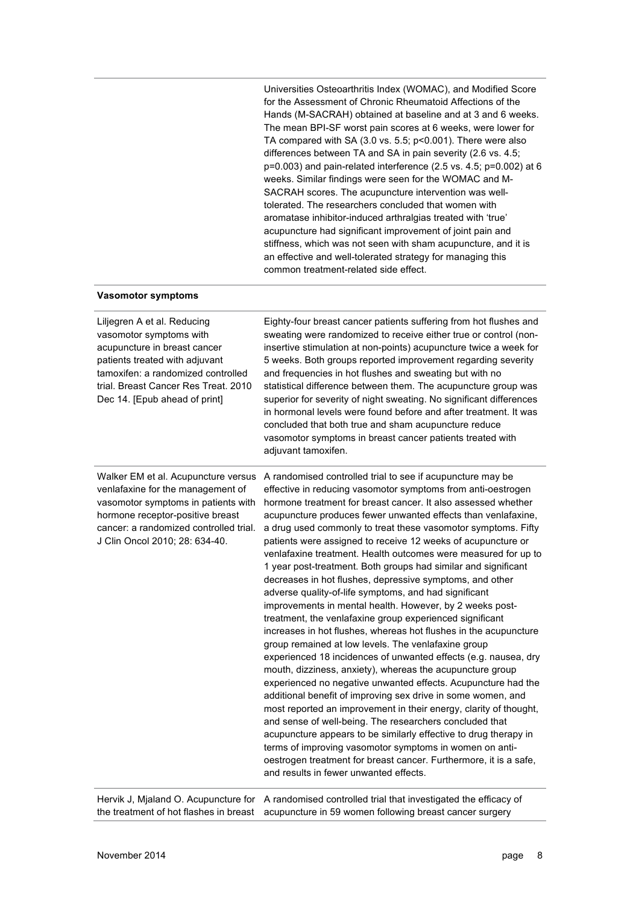Universities Osteoarthritis Index (WOMAC), and Modified Score for the Assessment of Chronic Rheumatoid Affections of the Hands (M-SACRAH) obtained at baseline and at 3 and 6 weeks. The mean BPI-SF worst pain scores at 6 weeks, were lower for TA compared with SA (3.0 vs. 5.5; p<0.001). There were also differences between TA and SA in pain severity (2.6 vs. 4.5; p=0.003) and pain-related interference (2.5 vs. 4.5; p=0.002) at 6 weeks. Similar findings were seen for the WOMAC and M-SACRAH scores. The acupuncture intervention was welltolerated. The researchers concluded that women with aromatase inhibitor-induced arthralgias treated with 'true' acupuncture had significant improvement of joint pain and stiffness, which was not seen with sham acupuncture, and it is an effective and well-tolerated strategy for managing this common treatment-related side effect.

#### **Vasomotor symptoms**

| Liljegren A et al. Reducing<br>vasomotor symptoms with<br>acupuncture in breast cancer<br>patients treated with adjuvant<br>tamoxifen: a randomized controlled<br>trial. Breast Cancer Res Treat. 2010<br>Dec 14. [Epub ahead of print] | Eighty-four breast cancer patients suffering from hot flushes and<br>sweating were randomized to receive either true or control (non-<br>insertive stimulation at non-points) acupuncture twice a week for<br>5 weeks. Both groups reported improvement regarding severity<br>and frequencies in hot flushes and sweating but with no<br>statistical difference between them. The acupuncture group was<br>superior for severity of night sweating. No significant differences<br>in hormonal levels were found before and after treatment. It was<br>concluded that both true and sham acupuncture reduce<br>vasomotor symptoms in breast cancer patients treated with<br>adjuvant tamoxifen.                                                                                                                                                                                                                                                                                                                                                                                                                                                                                                                                                                                                                                                                                                                                                                                                                                                           |
|-----------------------------------------------------------------------------------------------------------------------------------------------------------------------------------------------------------------------------------------|----------------------------------------------------------------------------------------------------------------------------------------------------------------------------------------------------------------------------------------------------------------------------------------------------------------------------------------------------------------------------------------------------------------------------------------------------------------------------------------------------------------------------------------------------------------------------------------------------------------------------------------------------------------------------------------------------------------------------------------------------------------------------------------------------------------------------------------------------------------------------------------------------------------------------------------------------------------------------------------------------------------------------------------------------------------------------------------------------------------------------------------------------------------------------------------------------------------------------------------------------------------------------------------------------------------------------------------------------------------------------------------------------------------------------------------------------------------------------------------------------------------------------------------------------------|
| Walker EM et al. Acupuncture versus<br>venlafaxine for the management of<br>vasomotor symptoms in patients with<br>hormone receptor-positive breast<br>cancer: a randomized controlled trial.<br>J Clin Oncol 2010; 28: 634-40.         | A randomised controlled trial to see if acupuncture may be<br>effective in reducing vasomotor symptoms from anti-oestrogen<br>hormone treatment for breast cancer. It also assessed whether<br>acupuncture produces fewer unwanted effects than venlafaxine,<br>a drug used commonly to treat these vasomotor symptoms. Fifty<br>patients were assigned to receive 12 weeks of acupuncture or<br>venlafaxine treatment. Health outcomes were measured for up to<br>1 year post-treatment. Both groups had similar and significant<br>decreases in hot flushes, depressive symptoms, and other<br>adverse quality-of-life symptoms, and had significant<br>improvements in mental health. However, by 2 weeks post-<br>treatment, the venlafaxine group experienced significant<br>increases in hot flushes, whereas hot flushes in the acupuncture<br>group remained at low levels. The venlafaxine group<br>experienced 18 incidences of unwanted effects (e.g. nausea, dry<br>mouth, dizziness, anxiety), whereas the acupuncture group<br>experienced no negative unwanted effects. Acupuncture had the<br>additional benefit of improving sex drive in some women, and<br>most reported an improvement in their energy, clarity of thought,<br>and sense of well-being. The researchers concluded that<br>acupuncture appears to be similarly effective to drug therapy in<br>terms of improving vasomotor symptoms in women on anti-<br>oestrogen treatment for breast cancer. Furthermore, it is a safe,<br>and results in fewer unwanted effects. |
|                                                                                                                                                                                                                                         | $I_{\text{ball}}$ $I_{\text{Molond}}$ $\Omega$ $\Lambda$ cunumature for $\Lambda$ rendemised controlled trial that investigated the efficiency of                                                                                                                                                                                                                                                                                                                                                                                                                                                                                                                                                                                                                                                                                                                                                                                                                                                                                                                                                                                                                                                                                                                                                                                                                                                                                                                                                                                                        |

Hervik J, Mjaland O. Acupuncture for A randomised controlled trial that investigated the efficacy of the treatment of hot flashes in breast acupuncture in 59 women following breast cancer surgery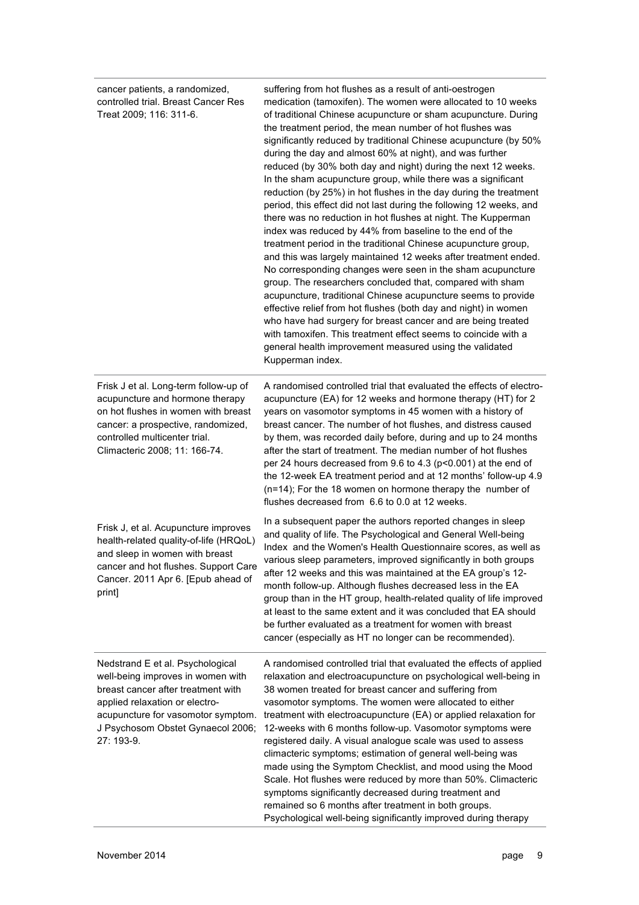| cancer patients, a randomized,<br>controlled trial. Breast Cancer Res<br>Treat 2009; 116: 311-6.                                                                                                                                       | suffering from hot flushes as a result of anti-oestrogen<br>medication (tamoxifen). The women were allocated to 10 weeks<br>of traditional Chinese acupuncture or sham acupuncture. During<br>the treatment period, the mean number of hot flushes was<br>significantly reduced by traditional Chinese acupuncture (by 50%<br>during the day and almost 60% at night), and was further<br>reduced (by 30% both day and night) during the next 12 weeks.<br>In the sham acupuncture group, while there was a significant<br>reduction (by 25%) in hot flushes in the day during the treatment<br>period, this effect did not last during the following 12 weeks, and<br>there was no reduction in hot flushes at night. The Kupperman<br>index was reduced by 44% from baseline to the end of the<br>treatment period in the traditional Chinese acupuncture group,<br>and this was largely maintained 12 weeks after treatment ended.<br>No corresponding changes were seen in the sham acupuncture<br>group. The researchers concluded that, compared with sham<br>acupuncture, traditional Chinese acupuncture seems to provide<br>effective relief from hot flushes (both day and night) in women<br>who have had surgery for breast cancer and are being treated<br>with tamoxifen. This treatment effect seems to coincide with a<br>general health improvement measured using the validated<br>Kupperman index. |
|----------------------------------------------------------------------------------------------------------------------------------------------------------------------------------------------------------------------------------------|-----------------------------------------------------------------------------------------------------------------------------------------------------------------------------------------------------------------------------------------------------------------------------------------------------------------------------------------------------------------------------------------------------------------------------------------------------------------------------------------------------------------------------------------------------------------------------------------------------------------------------------------------------------------------------------------------------------------------------------------------------------------------------------------------------------------------------------------------------------------------------------------------------------------------------------------------------------------------------------------------------------------------------------------------------------------------------------------------------------------------------------------------------------------------------------------------------------------------------------------------------------------------------------------------------------------------------------------------------------------------------------------------------------------------|
| Frisk J et al. Long-term follow-up of<br>acupuncture and hormone therapy<br>on hot flushes in women with breast<br>cancer: a prospective, randomized,<br>controlled multicenter trial.<br>Climacteric 2008; 11: 166-74.                | A randomised controlled trial that evaluated the effects of electro-<br>acupuncture (EA) for 12 weeks and hormone therapy (HT) for 2<br>years on vasomotor symptoms in 45 women with a history of<br>breast cancer. The number of hot flushes, and distress caused<br>by them, was recorded daily before, during and up to 24 months<br>after the start of treatment. The median number of hot flushes<br>per 24 hours decreased from 9.6 to 4.3 (p<0.001) at the end of<br>the 12-week EA treatment period and at 12 months' follow-up 4.9<br>(n=14); For the 18 women on hormone therapy the number of<br>flushes decreased from 6.6 to 0.0 at 12 weeks.                                                                                                                                                                                                                                                                                                                                                                                                                                                                                                                                                                                                                                                                                                                                                            |
| Frisk J, et al. Acupuncture improves<br>health-related quality-of-life (HRQoL)<br>and sleep in women with breast<br>cancer and hot flushes. Support Care<br>Cancer. 2011 Apr 6. [Epub ahead of<br>print]                               | In a subsequent paper the authors reported changes in sleep<br>and quality of life. The Psychological and General Well-being<br>Index and the Women's Health Questionnaire scores, as well as<br>various sleep parameters, improved significantly in both groups<br>after 12 weeks and this was maintained at the EA group's 12-<br>month follow-up. Although flushes decreased less in the EA<br>group than in the HT group, health-related quality of life improved<br>at least to the same extent and it was concluded that EA should<br>be further evaluated as a treatment for women with breast<br>cancer (especially as HT no longer can be recommended).                                                                                                                                                                                                                                                                                                                                                                                                                                                                                                                                                                                                                                                                                                                                                      |
| Nedstrand E et al. Psychological<br>well-being improves in women with<br>breast cancer after treatment with<br>applied relaxation or electro-<br>acupuncture for vasomotor symptom.<br>J Psychosom Obstet Gynaecol 2006;<br>27: 193-9. | A randomised controlled trial that evaluated the effects of applied<br>relaxation and electroacupuncture on psychological well-being in<br>38 women treated for breast cancer and suffering from<br>vasomotor symptoms. The women were allocated to either<br>treatment with electroacupuncture (EA) or applied relaxation for<br>12-weeks with 6 months follow-up. Vasomotor symptoms were<br>registered daily. A visual analogue scale was used to assess<br>climacteric symptoms; estimation of general well-being was<br>made using the Symptom Checklist, and mood using the Mood<br>Scale. Hot flushes were reduced by more than 50%. Climacteric<br>symptoms significantly decreased during treatment and<br>remained so 6 months after treatment in both groups.<br>Psychological well-being significantly improved during therapy                                                                                                                                                                                                                                                                                                                                                                                                                                                                                                                                                                            |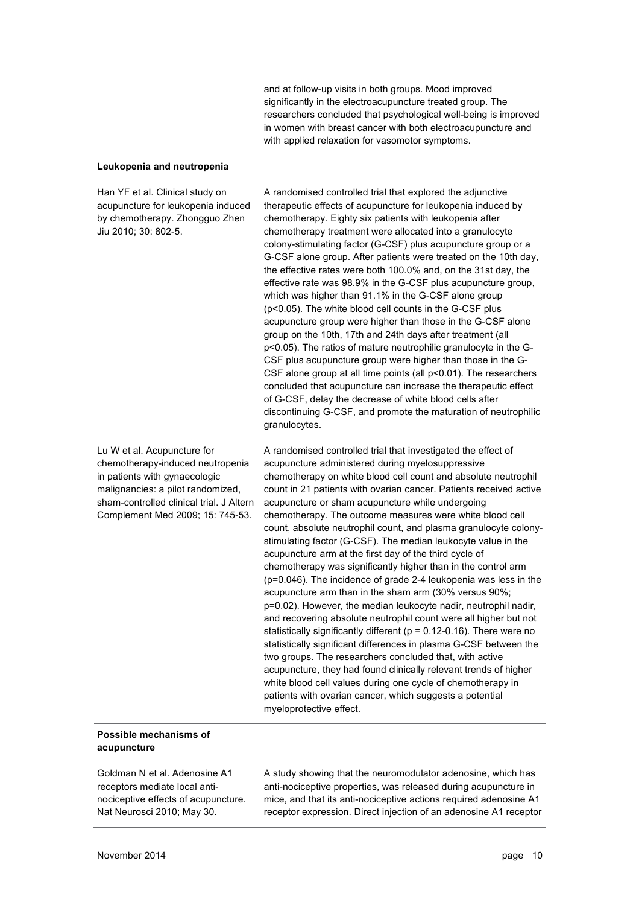and at follow-up visits in both groups. Mood improved significantly in the electroacupuncture treated group. The researchers concluded that psychological well-being is improved in women with breast cancer with both electroacupuncture and with applied relaxation for vasomotor symptoms.

#### **Leukopenia and neutropenia**

| Han YF et al. Clinical study on<br>acupuncture for leukopenia induced<br>by chemotherapy. Zhongguo Zhen<br>Jiu 2010; 30: 802-5.                                                                                       | A randomised controlled trial that explored the adjunctive<br>therapeutic effects of acupuncture for leukopenia induced by<br>chemotherapy. Eighty six patients with leukopenia after<br>chemotherapy treatment were allocated into a granulocyte<br>colony-stimulating factor (G-CSF) plus acupuncture group or a<br>G-CSF alone group. After patients were treated on the 10th day,<br>the effective rates were both 100.0% and, on the 31st day, the<br>effective rate was 98.9% in the G-CSF plus acupuncture group,<br>which was higher than 91.1% in the G-CSF alone group<br>(p<0.05). The white blood cell counts in the G-CSF plus<br>acupuncture group were higher than those in the G-CSF alone<br>group on the 10th, 17th and 24th days after treatment (all<br>p<0.05). The ratios of mature neutrophilic granulocyte in the G-<br>CSF plus acupuncture group were higher than those in the G-<br>CSF alone group at all time points (all p<0.01). The researchers<br>concluded that acupuncture can increase the therapeutic effect<br>of G-CSF, delay the decrease of white blood cells after<br>discontinuing G-CSF, and promote the maturation of neutrophilic<br>granulocytes.                                                                                                                                                    |
|-----------------------------------------------------------------------------------------------------------------------------------------------------------------------------------------------------------------------|-----------------------------------------------------------------------------------------------------------------------------------------------------------------------------------------------------------------------------------------------------------------------------------------------------------------------------------------------------------------------------------------------------------------------------------------------------------------------------------------------------------------------------------------------------------------------------------------------------------------------------------------------------------------------------------------------------------------------------------------------------------------------------------------------------------------------------------------------------------------------------------------------------------------------------------------------------------------------------------------------------------------------------------------------------------------------------------------------------------------------------------------------------------------------------------------------------------------------------------------------------------------------------------------------------------------------------------------------------|
| Lu W et al. Acupuncture for<br>chemotherapy-induced neutropenia<br>in patients with gynaecologic<br>malignancies: a pilot randomized,<br>sham-controlled clinical trial. J Altern<br>Complement Med 2009; 15: 745-53. | A randomised controlled trial that investigated the effect of<br>acupuncture administered during myelosuppressive<br>chemotherapy on white blood cell count and absolute neutrophil<br>count in 21 patients with ovarian cancer. Patients received active<br>acupuncture or sham acupuncture while undergoing<br>chemotherapy. The outcome measures were white blood cell<br>count, absolute neutrophil count, and plasma granulocyte colony-<br>stimulating factor (G-CSF). The median leukocyte value in the<br>acupuncture arm at the first day of the third cycle of<br>chemotherapy was significantly higher than in the control arm<br>(p=0.046). The incidence of grade 2-4 leukopenia was less in the<br>acupuncture arm than in the sham arm (30% versus 90%;<br>p=0.02). However, the median leukocyte nadir, neutrophil nadir,<br>and recovering absolute neutrophil count were all higher but not<br>statistically significantly different ( $p = 0.12$ -0.16). There were no<br>statistically significant differences in plasma G-CSF between the<br>two groups. The researchers concluded that, with active<br>acupuncture, they had found clinically relevant trends of higher<br>white blood cell values during one cycle of chemotherapy in<br>patients with ovarian cancer, which suggests a potential<br>myeloprotective effect. |

#### **Possible mechanisms of acupuncture**

Goldman N et al. Adenosine A1 receptors mediate local antinociceptive effects of acupuncture. Nat Neurosci 2010; May 30.

A study showing that the neuromodulator adenosine, which has anti-nociceptive properties, was released during acupuncture in mice, and that its anti-nociceptive actions required adenosine A1 receptor expression. Direct injection of an adenosine A1 receptor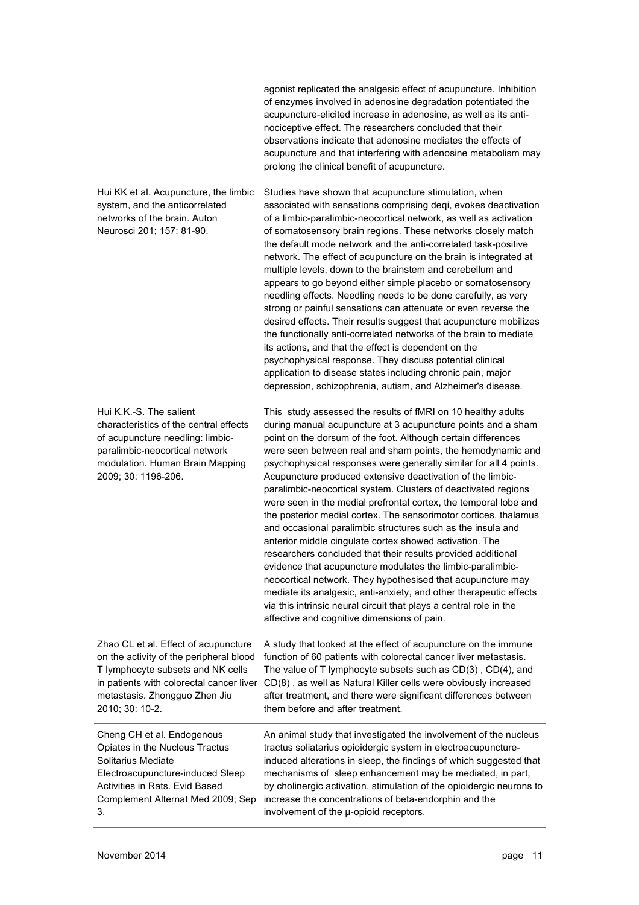|                                                                                                                                                                                                                      | agonist replicated the analgesic effect of acupuncture. Inhibition<br>of enzymes involved in adenosine degradation potentiated the<br>acupuncture-elicited increase in adenosine, as well as its anti-<br>nociceptive effect. The researchers concluded that their<br>observations indicate that adenosine mediates the effects of<br>acupuncture and that interfering with adenosine metabolism may<br>prolong the clinical benefit of acupuncture.                                                                                                                                                                                                                                                                                                                                                                                                                                                                                                                                                                                                                                                                        |
|----------------------------------------------------------------------------------------------------------------------------------------------------------------------------------------------------------------------|-----------------------------------------------------------------------------------------------------------------------------------------------------------------------------------------------------------------------------------------------------------------------------------------------------------------------------------------------------------------------------------------------------------------------------------------------------------------------------------------------------------------------------------------------------------------------------------------------------------------------------------------------------------------------------------------------------------------------------------------------------------------------------------------------------------------------------------------------------------------------------------------------------------------------------------------------------------------------------------------------------------------------------------------------------------------------------------------------------------------------------|
| Hui KK et al. Acupuncture, the limbic<br>system, and the anticorrelated<br>networks of the brain. Auton<br>Neurosci 201; 157: 81-90.                                                                                 | Studies have shown that acupuncture stimulation, when<br>associated with sensations comprising deqi, evokes deactivation<br>of a limbic-paralimbic-neocortical network, as well as activation<br>of somatosensory brain regions. These networks closely match<br>the default mode network and the anti-correlated task-positive<br>network. The effect of acupuncture on the brain is integrated at<br>multiple levels, down to the brainstem and cerebellum and<br>appears to go beyond either simple placebo or somatosensory<br>needling effects. Needling needs to be done carefully, as very<br>strong or painful sensations can attenuate or even reverse the<br>desired effects. Their results suggest that acupuncture mobilizes<br>the functionally anti-correlated networks of the brain to mediate<br>its actions, and that the effect is dependent on the<br>psychophysical response. They discuss potential clinical<br>application to disease states including chronic pain, major<br>depression, schizophrenia, autism, and Alzheimer's disease.                                                             |
| Hui K.K.-S. The salient<br>characteristics of the central effects<br>of acupuncture needling: limbic-<br>paralimbic-neocortical network<br>modulation. Human Brain Mapping<br>2009; 30: 1196-206.                    | This study assessed the results of fMRI on 10 healthy adults<br>during manual acupuncture at 3 acupuncture points and a sham<br>point on the dorsum of the foot. Although certain differences<br>were seen between real and sham points, the hemodynamic and<br>psychophysical responses were generally similar for all 4 points.<br>Acupuncture produced extensive deactivation of the limbic-<br>paralimbic-neocortical system. Clusters of deactivated regions<br>were seen in the medial prefrontal cortex, the temporal lobe and<br>the posterior medial cortex. The sensorimotor cortices, thalamus<br>and occasional paralimbic structures such as the insula and<br>anterior middle cingulate cortex showed activation. The<br>researchers concluded that their results provided additional<br>evidence that acupuncture modulates the limbic-paralimbic-<br>neocortical network. They hypothesised that acupuncture may<br>mediate its analgesic, anti-anxiety, and other therapeutic effects<br>via this intrinsic neural circuit that plays a central role in the<br>affective and cognitive dimensions of pain. |
| Zhao CL et al. Effect of acupuncture<br>on the activity of the peripheral blood<br>T lymphocyte subsets and NK cells<br>in patients with colorectal cancer liver<br>metastasis. Zhongguo Zhen Jiu<br>2010; 30: 10-2. | A study that looked at the effect of acupuncture on the immune<br>function of 60 patients with colorectal cancer liver metastasis.<br>The value of T lymphocyte subsets such as CD(3), CD(4), and<br>CD(8), as well as Natural Killer cells were obviously increased<br>after treatment, and there were significant differences between<br>them before and after treatment.                                                                                                                                                                                                                                                                                                                                                                                                                                                                                                                                                                                                                                                                                                                                                 |
| Cheng CH et al. Endogenous<br>Opiates in the Nucleus Tractus<br>Solitarius Mediate<br>Electroacupuncture-induced Sleep<br>Activities in Rats. Evid Based<br>Complement Alternat Med 2009; Sep<br>3.                  | An animal study that investigated the involvement of the nucleus<br>tractus soliatarius opioidergic system in electroacupuncture-<br>induced alterations in sleep, the findings of which suggested that<br>mechanisms of sleep enhancement may be mediated, in part,<br>by cholinergic activation, stimulation of the opioidergic neurons to<br>increase the concentrations of beta-endorphin and the<br>involvement of the µ-opioid receptors.                                                                                                                                                                                                                                                                                                                                                                                                                                                                                                                                                                                                                                                                             |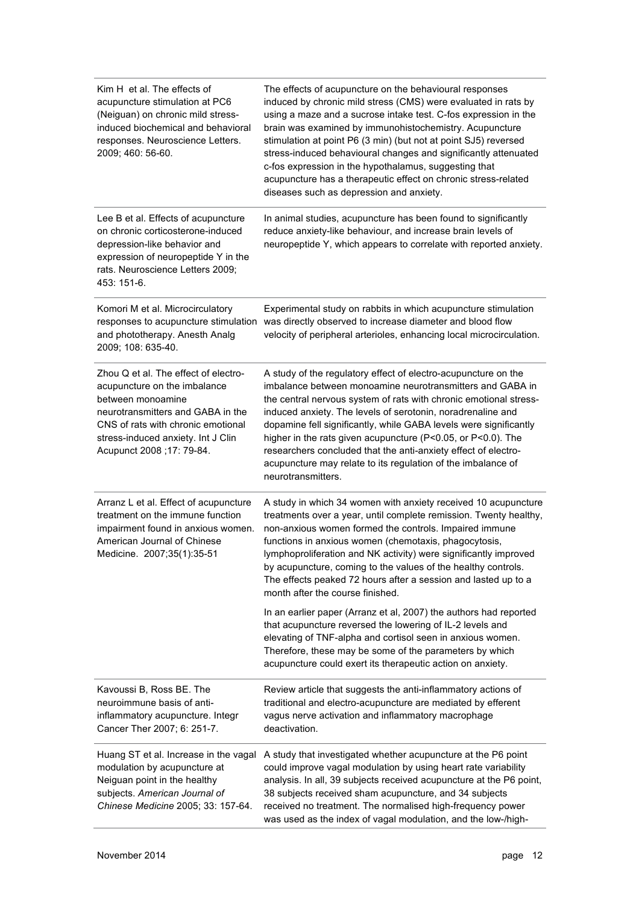| Kim H et al. The effects of<br>acupuncture stimulation at PC6<br>(Neiguan) on chronic mild stress-<br>induced biochemical and behavioral<br>responses. Neuroscience Letters.<br>2009; 460: 56-60.                                        | The effects of acupuncture on the behavioural responses<br>induced by chronic mild stress (CMS) were evaluated in rats by<br>using a maze and a sucrose intake test. C-fos expression in the<br>brain was examined by immunohistochemistry. Acupuncture<br>stimulation at point P6 (3 min) (but not at point SJ5) reversed<br>stress-induced behavioural changes and significantly attenuated<br>c-fos expression in the hypothalamus, suggesting that<br>acupuncture has a therapeutic effect on chronic stress-related<br>diseases such as depression and anxiety. |
|------------------------------------------------------------------------------------------------------------------------------------------------------------------------------------------------------------------------------------------|----------------------------------------------------------------------------------------------------------------------------------------------------------------------------------------------------------------------------------------------------------------------------------------------------------------------------------------------------------------------------------------------------------------------------------------------------------------------------------------------------------------------------------------------------------------------|
| Lee B et al. Effects of acupuncture<br>on chronic corticosterone-induced<br>depression-like behavior and<br>expression of neuropeptide Y in the<br>rats. Neuroscience Letters 2009;<br>453: 151-6.                                       | In animal studies, acupuncture has been found to significantly<br>reduce anxiety-like behaviour, and increase brain levels of<br>neuropeptide Y, which appears to correlate with reported anxiety.                                                                                                                                                                                                                                                                                                                                                                   |
| Komori M et al. Microcirculatory<br>responses to acupuncture stimulation<br>and phototherapy. Anesth Analg<br>2009; 108: 635-40.                                                                                                         | Experimental study on rabbits in which acupuncture stimulation<br>was directly observed to increase diameter and blood flow<br>velocity of peripheral arterioles, enhancing local microcirculation.                                                                                                                                                                                                                                                                                                                                                                  |
| Zhou Q et al. The effect of electro-<br>acupuncture on the imbalance<br>between monoamine<br>neurotransmitters and GABA in the<br>CNS of rats with chronic emotional<br>stress-induced anxiety. Int J Clin<br>Acupunct 2008 ; 17: 79-84. | A study of the regulatory effect of electro-acupuncture on the<br>imbalance between monoamine neurotransmitters and GABA in<br>the central nervous system of rats with chronic emotional stress-<br>induced anxiety. The levels of serotonin, noradrenaline and<br>dopamine fell significantly, while GABA levels were significantly<br>higher in the rats given acupuncture (P<0.05, or P<0.0). The<br>researchers concluded that the anti-anxiety effect of electro-<br>acupuncture may relate to its regulation of the imbalance of<br>neurotransmitters.         |
| Arranz L et al. Effect of acupuncture<br>treatment on the immune function<br>impairment found in anxious women.<br>American Journal of Chinese<br>Medicine. 2007;35(1):35-51                                                             | A study in which 34 women with anxiety received 10 acupuncture<br>treatments over a year, until complete remission. Twenty healthy,<br>non-anxious women formed the controls. Impaired immune<br>functions in anxious women (chemotaxis, phagocytosis,<br>lymphoproliferation and NK activity) were significantly improved<br>by acupuncture, coming to the values of the healthy controls.<br>The effects peaked 72 hours after a session and lasted up to a<br>month after the course finished.                                                                    |
|                                                                                                                                                                                                                                          | In an earlier paper (Arranz et al, 2007) the authors had reported<br>that acupuncture reversed the lowering of IL-2 levels and<br>elevating of TNF-alpha and cortisol seen in anxious women.<br>Therefore, these may be some of the parameters by which<br>acupuncture could exert its therapeutic action on anxiety.                                                                                                                                                                                                                                                |
| Kavoussi B, Ross BE. The<br>neuroimmune basis of anti-<br>inflammatory acupuncture. Integr<br>Cancer Ther 2007; 6: 251-7.                                                                                                                | Review article that suggests the anti-inflammatory actions of<br>traditional and electro-acupuncture are mediated by efferent<br>vagus nerve activation and inflammatory macrophage<br>deactivation.                                                                                                                                                                                                                                                                                                                                                                 |
| Huang ST et al. Increase in the vagal<br>modulation by acupuncture at<br>Neiguan point in the healthy<br>subjects. American Journal of<br>Chinese Medicine 2005; 33: 157-64.                                                             | A study that investigated whether acupuncture at the P6 point<br>could improve vagal modulation by using heart rate variability<br>analysis. In all, 39 subjects received acupuncture at the P6 point,<br>38 subjects received sham acupuncture, and 34 subjects<br>received no treatment. The normalised high-frequency power<br>was used as the index of vagal modulation, and the low-/high-                                                                                                                                                                      |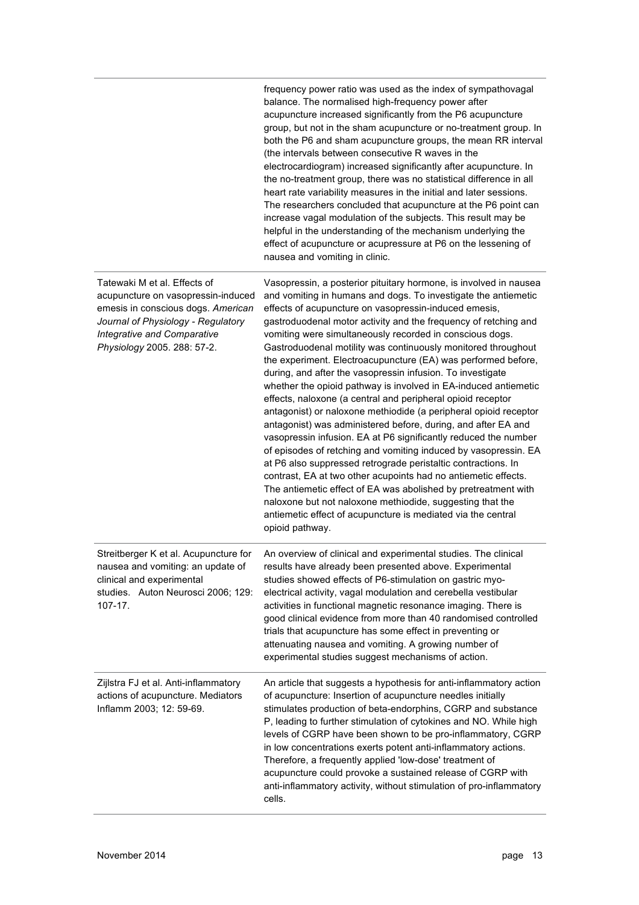|                                                                                                                                                                                                              | frequency power ratio was used as the index of sympathovagal<br>balance. The normalised high-frequency power after<br>acupuncture increased significantly from the P6 acupuncture<br>group, but not in the sham acupuncture or no-treatment group. In<br>both the P6 and sham acupuncture groups, the mean RR interval<br>(the intervals between consecutive R waves in the<br>electrocardiogram) increased significantly after acupuncture. In<br>the no-treatment group, there was no statistical difference in all<br>heart rate variability measures in the initial and later sessions.<br>The researchers concluded that acupuncture at the P6 point can<br>increase vagal modulation of the subjects. This result may be<br>helpful in the understanding of the mechanism underlying the<br>effect of acupuncture or acupressure at P6 on the lessening of<br>nausea and vomiting in clinic.                                                                                                                                                                                                                                                                                                                                                                                            |
|--------------------------------------------------------------------------------------------------------------------------------------------------------------------------------------------------------------|-----------------------------------------------------------------------------------------------------------------------------------------------------------------------------------------------------------------------------------------------------------------------------------------------------------------------------------------------------------------------------------------------------------------------------------------------------------------------------------------------------------------------------------------------------------------------------------------------------------------------------------------------------------------------------------------------------------------------------------------------------------------------------------------------------------------------------------------------------------------------------------------------------------------------------------------------------------------------------------------------------------------------------------------------------------------------------------------------------------------------------------------------------------------------------------------------------------------------------------------------------------------------------------------------|
| Tatewaki M et al. Effects of<br>acupuncture on vasopressin-induced<br>emesis in conscious dogs. American<br>Journal of Physiology - Regulatory<br>Integrative and Comparative<br>Physiology 2005. 288: 57-2. | Vasopressin, a posterior pituitary hormone, is involved in nausea<br>and vomiting in humans and dogs. To investigate the antiemetic<br>effects of acupuncture on vasopressin-induced emesis,<br>gastroduodenal motor activity and the frequency of retching and<br>vomiting were simultaneously recorded in conscious dogs.<br>Gastroduodenal motility was continuously monitored throughout<br>the experiment. Electroacupuncture (EA) was performed before,<br>during, and after the vasopressin infusion. To investigate<br>whether the opioid pathway is involved in EA-induced antiemetic<br>effects, naloxone (a central and peripheral opioid receptor<br>antagonist) or naloxone methiodide (a peripheral opioid receptor<br>antagonist) was administered before, during, and after EA and<br>vasopressin infusion. EA at P6 significantly reduced the number<br>of episodes of retching and vomiting induced by vasopressin. EA<br>at P6 also suppressed retrograde peristaltic contractions. In<br>contrast, EA at two other acupoints had no antiemetic effects.<br>The antiemetic effect of EA was abolished by pretreatment with<br>naloxone but not naloxone methiodide, suggesting that the<br>antiemetic effect of acupuncture is mediated via the central<br>opioid pathway. |
| Streitberger K et al. Acupuncture for<br>nausea and vomiting: an update of<br>clinical and experimental<br>studies. Auton Neurosci 2006; 129:<br>$107 - 17.$                                                 | An overview of clinical and experimental studies. The clinical<br>results have already been presented above. Experimental<br>studies showed effects of P6-stimulation on gastric myo-<br>electrical activity, vagal modulation and cerebella vestibular<br>activities in functional magnetic resonance imaging. There is<br>good clinical evidence from more than 40 randomised controlled<br>trials that acupuncture has some effect in preventing or<br>attenuating nausea and vomiting. A growing number of<br>experimental studies suggest mechanisms of action.                                                                                                                                                                                                                                                                                                                                                                                                                                                                                                                                                                                                                                                                                                                          |
| Zijlstra FJ et al. Anti-inflammatory<br>actions of acupuncture. Mediators<br>Inflamm 2003; 12: 59-69.                                                                                                        | An article that suggests a hypothesis for anti-inflammatory action<br>of acupuncture: Insertion of acupuncture needles initially<br>stimulates production of beta-endorphins, CGRP and substance<br>P, leading to further stimulation of cytokines and NO. While high<br>levels of CGRP have been shown to be pro-inflammatory, CGRP<br>in low concentrations exerts potent anti-inflammatory actions.<br>Therefore, a frequently applied 'low-dose' treatment of<br>acupuncture could provoke a sustained release of CGRP with<br>anti-inflammatory activity, without stimulation of pro-inflammatory<br>cells.                                                                                                                                                                                                                                                                                                                                                                                                                                                                                                                                                                                                                                                                              |